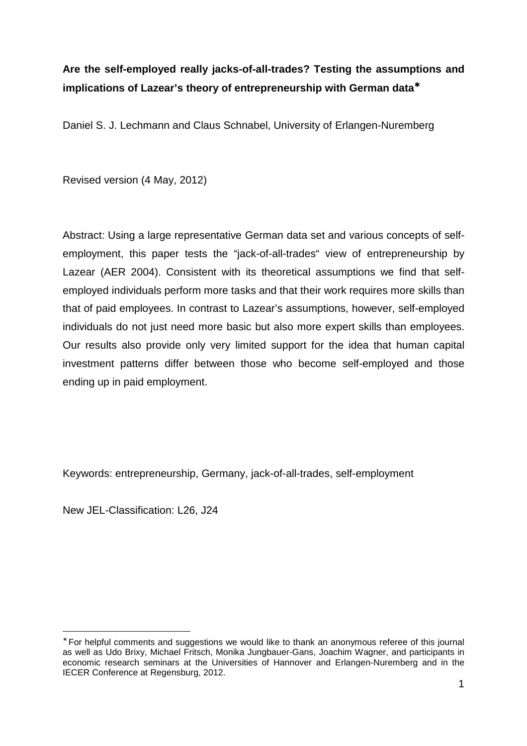# **Are the self-employed really jacks-of-all-trades? Testing the assumptions and implications of Lazear's theory of entrepreneurship with German data**<sup>∗</sup>

Daniel S. J. Lechmann and Claus Schnabel, University of Erlangen-Nuremberg

Revised version (4 May, 2012)

Abstract: Using a large representative German data set and various concepts of selfemployment, this paper tests the "jack-of-all-trades" view of entrepreneurship by Lazear (AER 2004). Consistent with its theoretical assumptions we find that selfemployed individuals perform more tasks and that their work requires more skills than that of paid employees. In contrast to Lazear's assumptions, however, self-employed individuals do not just need more basic but also more expert skills than employees. Our results also provide only very limited support for the idea that human capital investment patterns differ between those who become self-employed and those ending up in paid employment.

Keywords: entrepreneurship, Germany, jack-of-all-trades, self-employment

New JEL-Classification: L26, J24

l ∗ For helpful comments and suggestions we would like to thank an anonymous referee of this journal as well as Udo Brixy, Michael Fritsch, Monika Jungbauer-Gans, Joachim Wagner, and participants in economic research seminars at the Universities of Hannover and Erlangen-Nuremberg and in the IECER Conference at Regensburg, 2012.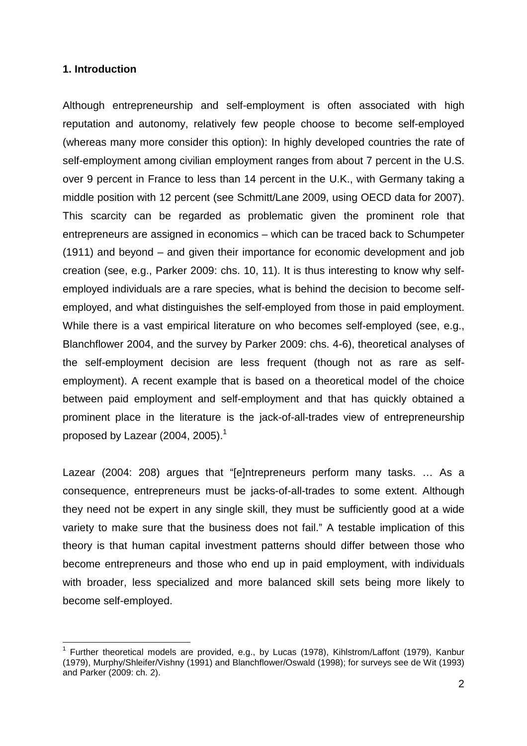## **1. Introduction**

l

Although entrepreneurship and self-employment is often associated with high reputation and autonomy, relatively few people choose to become self-employed (whereas many more consider this option): In highly developed countries the rate of self-employment among civilian employment ranges from about 7 percent in the U.S. over 9 percent in France to less than 14 percent in the U.K., with Germany taking a middle position with 12 percent (see Schmitt/Lane 2009, using OECD data for 2007). This scarcity can be regarded as problematic given the prominent role that entrepreneurs are assigned in economics – which can be traced back to Schumpeter (1911) and beyond – and given their importance for economic development and job creation (see, e.g., Parker 2009: chs. 10, 11). It is thus interesting to know why selfemployed individuals are a rare species, what is behind the decision to become selfemployed, and what distinguishes the self-employed from those in paid employment. While there is a vast empirical literature on who becomes self-employed (see, e.g., Blanchflower 2004, and the survey by Parker 2009: chs. 4-6), theoretical analyses of the self-employment decision are less frequent (though not as rare as selfemployment). A recent example that is based on a theoretical model of the choice between paid employment and self-employment and that has quickly obtained a prominent place in the literature is the jack-of-all-trades view of entrepreneurship proposed by Lazear (2004, 2005). $<sup>1</sup>$ </sup>

Lazear (2004: 208) argues that "[e]ntrepreneurs perform many tasks. … As a consequence, entrepreneurs must be jacks-of-all-trades to some extent. Although they need not be expert in any single skill, they must be sufficiently good at a wide variety to make sure that the business does not fail." A testable implication of this theory is that human capital investment patterns should differ between those who become entrepreneurs and those who end up in paid employment, with individuals with broader, less specialized and more balanced skill sets being more likely to become self-employed.

<sup>1</sup> Further theoretical models are provided, e.g., by Lucas (1978), Kihlstrom/Laffont (1979), Kanbur (1979), Murphy/Shleifer/Vishny (1991) and Blanchflower/Oswald (1998); for surveys see de Wit (1993) and Parker (2009: ch. 2).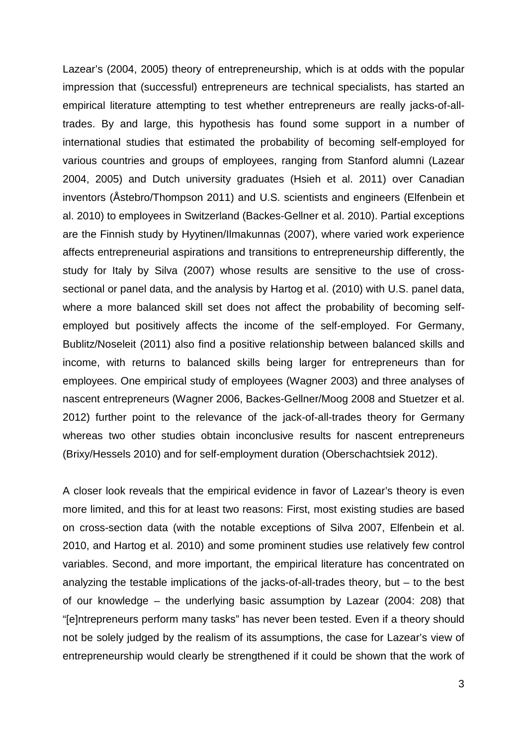Lazear's (2004, 2005) theory of entrepreneurship, which is at odds with the popular impression that (successful) entrepreneurs are technical specialists, has started an empirical literature attempting to test whether entrepreneurs are really jacks-of-alltrades. By and large, this hypothesis has found some support in a number of international studies that estimated the probability of becoming self-employed for various countries and groups of employees, ranging from Stanford alumni (Lazear 2004, 2005) and Dutch university graduates (Hsieh et al. 2011) over Canadian inventors (Åstebro/Thompson 2011) and U.S. scientists and engineers (Elfenbein et al. 2010) to employees in Switzerland (Backes-Gellner et al. 2010). Partial exceptions are the Finnish study by Hyytinen/Ilmakunnas (2007), where varied work experience affects entrepreneurial aspirations and transitions to entrepreneurship differently, the study for Italy by Silva (2007) whose results are sensitive to the use of crosssectional or panel data, and the analysis by Hartog et al. (2010) with U.S. panel data, where a more balanced skill set does not affect the probability of becoming selfemployed but positively affects the income of the self-employed. For Germany, Bublitz/Noseleit (2011) also find a positive relationship between balanced skills and income, with returns to balanced skills being larger for entrepreneurs than for employees. One empirical study of employees (Wagner 2003) and three analyses of nascent entrepreneurs (Wagner 2006, Backes-Gellner/Moog 2008 and Stuetzer et al. 2012) further point to the relevance of the jack-of-all-trades theory for Germany whereas two other studies obtain inconclusive results for nascent entrepreneurs (Brixy/Hessels 2010) and for self-employment duration (Oberschachtsiek 2012).

A closer look reveals that the empirical evidence in favor of Lazear's theory is even more limited, and this for at least two reasons: First, most existing studies are based on cross-section data (with the notable exceptions of Silva 2007, Elfenbein et al. 2010, and Hartog et al. 2010) and some prominent studies use relatively few control variables. Second, and more important, the empirical literature has concentrated on analyzing the testable implications of the jacks-of-all-trades theory, but – to the best of our knowledge – the underlying basic assumption by Lazear (2004: 208) that "[e]ntrepreneurs perform many tasks" has never been tested. Even if a theory should not be solely judged by the realism of its assumptions, the case for Lazear's view of entrepreneurship would clearly be strengthened if it could be shown that the work of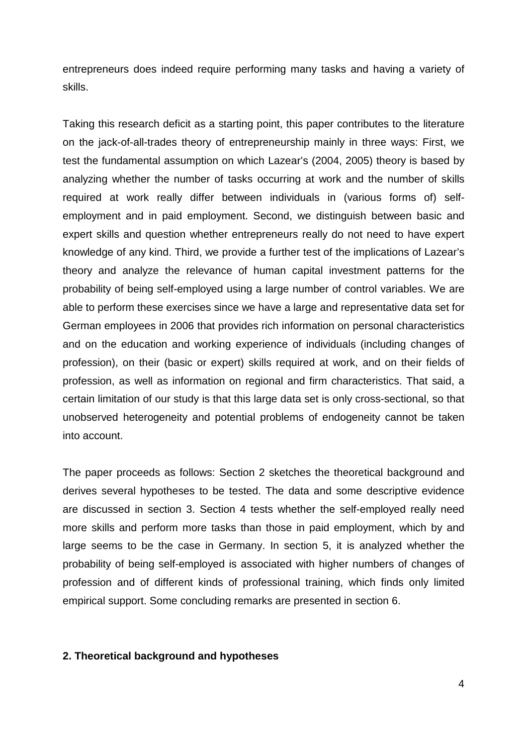entrepreneurs does indeed require performing many tasks and having a variety of skills.

Taking this research deficit as a starting point, this paper contributes to the literature on the jack-of-all-trades theory of entrepreneurship mainly in three ways: First, we test the fundamental assumption on which Lazear's (2004, 2005) theory is based by analyzing whether the number of tasks occurring at work and the number of skills required at work really differ between individuals in (various forms of) selfemployment and in paid employment. Second, we distinguish between basic and expert skills and question whether entrepreneurs really do not need to have expert knowledge of any kind. Third, we provide a further test of the implications of Lazear's theory and analyze the relevance of human capital investment patterns for the probability of being self-employed using a large number of control variables. We are able to perform these exercises since we have a large and representative data set for German employees in 2006 that provides rich information on personal characteristics and on the education and working experience of individuals (including changes of profession), on their (basic or expert) skills required at work, and on their fields of profession, as well as information on regional and firm characteristics. That said, a certain limitation of our study is that this large data set is only cross-sectional, so that unobserved heterogeneity and potential problems of endogeneity cannot be taken into account.

The paper proceeds as follows: Section 2 sketches the theoretical background and derives several hypotheses to be tested. The data and some descriptive evidence are discussed in section 3. Section 4 tests whether the self-employed really need more skills and perform more tasks than those in paid employment, which by and large seems to be the case in Germany. In section 5, it is analyzed whether the probability of being self-employed is associated with higher numbers of changes of profession and of different kinds of professional training, which finds only limited empirical support. Some concluding remarks are presented in section 6.

## **2. Theoretical background and hypotheses**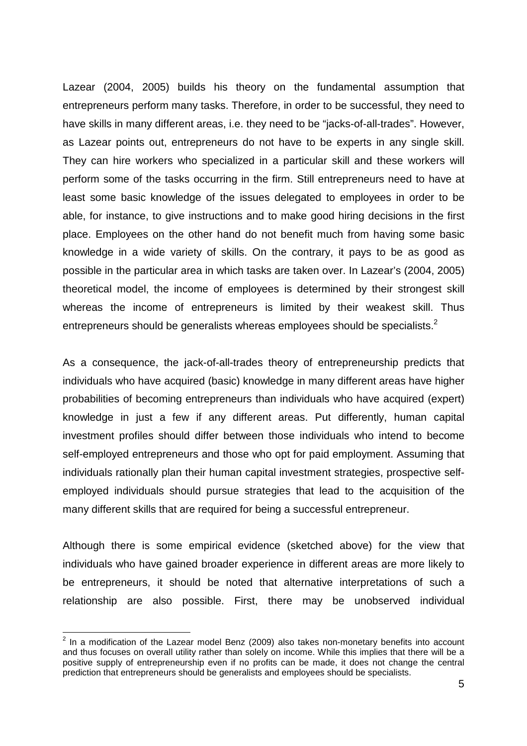Lazear (2004, 2005) builds his theory on the fundamental assumption that entrepreneurs perform many tasks. Therefore, in order to be successful, they need to have skills in many different areas, i.e. they need to be "jacks-of-all-trades". However, as Lazear points out, entrepreneurs do not have to be experts in any single skill. They can hire workers who specialized in a particular skill and these workers will perform some of the tasks occurring in the firm. Still entrepreneurs need to have at least some basic knowledge of the issues delegated to employees in order to be able, for instance, to give instructions and to make good hiring decisions in the first place. Employees on the other hand do not benefit much from having some basic knowledge in a wide variety of skills. On the contrary, it pays to be as good as possible in the particular area in which tasks are taken over. In Lazear's (2004, 2005) theoretical model, the income of employees is determined by their strongest skill whereas the income of entrepreneurs is limited by their weakest skill. Thus entrepreneurs should be generalists whereas employees should be specialists.<sup>2</sup>

As a consequence, the jack-of-all-trades theory of entrepreneurship predicts that individuals who have acquired (basic) knowledge in many different areas have higher probabilities of becoming entrepreneurs than individuals who have acquired (expert) knowledge in just a few if any different areas. Put differently, human capital investment profiles should differ between those individuals who intend to become self-employed entrepreneurs and those who opt for paid employment. Assuming that individuals rationally plan their human capital investment strategies, prospective selfemployed individuals should pursue strategies that lead to the acquisition of the many different skills that are required for being a successful entrepreneur.

Although there is some empirical evidence (sketched above) for the view that individuals who have gained broader experience in different areas are more likely to be entrepreneurs, it should be noted that alternative interpretations of such a relationship are also possible. First, there may be unobserved individual

 $\overline{a}$ 

 $2$  In a modification of the Lazear model Benz (2009) also takes non-monetary benefits into account and thus focuses on overall utility rather than solely on income. While this implies that there will be a positive supply of entrepreneurship even if no profits can be made, it does not change the central prediction that entrepreneurs should be generalists and employees should be specialists.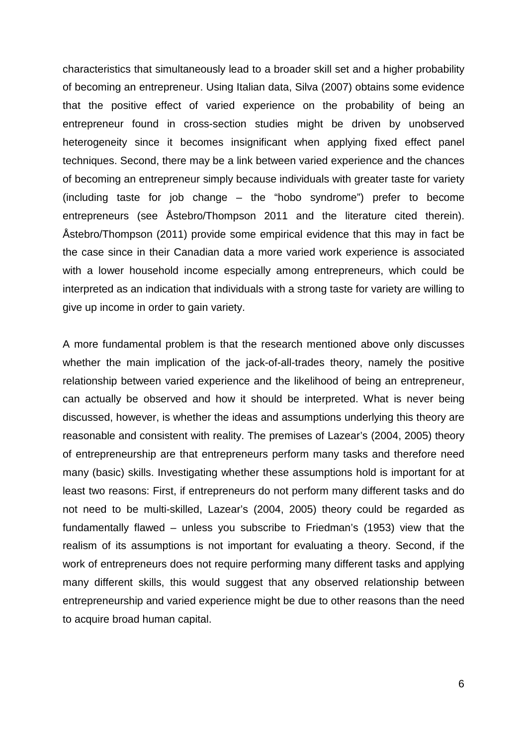characteristics that simultaneously lead to a broader skill set and a higher probability of becoming an entrepreneur. Using Italian data, Silva (2007) obtains some evidence that the positive effect of varied experience on the probability of being an entrepreneur found in cross-section studies might be driven by unobserved heterogeneity since it becomes insignificant when applying fixed effect panel techniques. Second, there may be a link between varied experience and the chances of becoming an entrepreneur simply because individuals with greater taste for variety (including taste for job change – the "hobo syndrome") prefer to become entrepreneurs (see Åstebro/Thompson 2011 and the literature cited therein). Åstebro/Thompson (2011) provide some empirical evidence that this may in fact be the case since in their Canadian data a more varied work experience is associated with a lower household income especially among entrepreneurs, which could be interpreted as an indication that individuals with a strong taste for variety are willing to give up income in order to gain variety.

A more fundamental problem is that the research mentioned above only discusses whether the main implication of the jack-of-all-trades theory, namely the positive relationship between varied experience and the likelihood of being an entrepreneur, can actually be observed and how it should be interpreted. What is never being discussed, however, is whether the ideas and assumptions underlying this theory are reasonable and consistent with reality. The premises of Lazear's (2004, 2005) theory of entrepreneurship are that entrepreneurs perform many tasks and therefore need many (basic) skills. Investigating whether these assumptions hold is important for at least two reasons: First, if entrepreneurs do not perform many different tasks and do not need to be multi-skilled, Lazear's (2004, 2005) theory could be regarded as fundamentally flawed – unless you subscribe to Friedman's (1953) view that the realism of its assumptions is not important for evaluating a theory. Second, if the work of entrepreneurs does not require performing many different tasks and applying many different skills, this would suggest that any observed relationship between entrepreneurship and varied experience might be due to other reasons than the need to acquire broad human capital.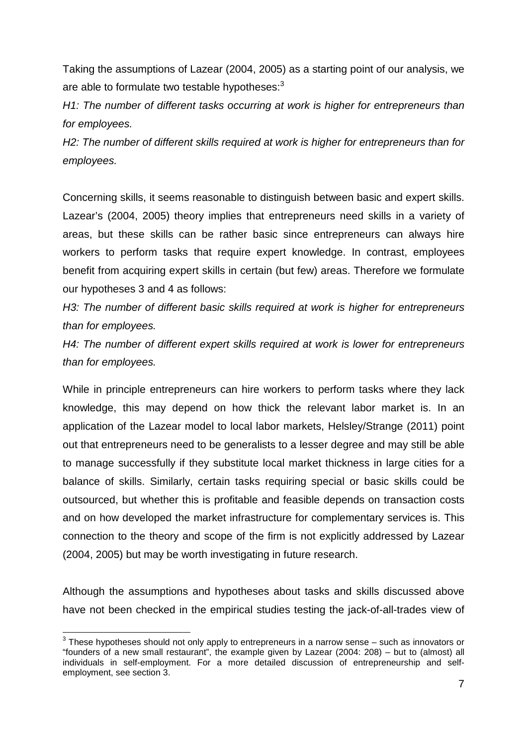Taking the assumptions of Lazear (2004, 2005) as a starting point of our analysis, we are able to formulate two testable hypotheses:<sup>3</sup>

H1: The number of different tasks occurring at work is higher for entrepreneurs than for employees.

H2: The number of different skills required at work is higher for entrepreneurs than for employees.

Concerning skills, it seems reasonable to distinguish between basic and expert skills. Lazear's (2004, 2005) theory implies that entrepreneurs need skills in a variety of areas, but these skills can be rather basic since entrepreneurs can always hire workers to perform tasks that require expert knowledge. In contrast, employees benefit from acquiring expert skills in certain (but few) areas. Therefore we formulate our hypotheses 3 and 4 as follows:

H3: The number of different basic skills required at work is higher for entrepreneurs than for employees.

H4: The number of different expert skills required at work is lower for entrepreneurs than for employees.

While in principle entrepreneurs can hire workers to perform tasks where they lack knowledge, this may depend on how thick the relevant labor market is. In an application of the Lazear model to local labor markets, Helsley/Strange (2011) point out that entrepreneurs need to be generalists to a lesser degree and may still be able to manage successfully if they substitute local market thickness in large cities for a balance of skills. Similarly, certain tasks requiring special or basic skills could be outsourced, but whether this is profitable and feasible depends on transaction costs and on how developed the market infrastructure for complementary services is. This connection to the theory and scope of the firm is not explicitly addressed by Lazear (2004, 2005) but may be worth investigating in future research.

Although the assumptions and hypotheses about tasks and skills discussed above have not been checked in the empirical studies testing the jack-of-all-trades view of

 $\overline{a}$  $3$  These hypotheses should not only apply to entrepreneurs in a narrow sense – such as innovators or "founders of a new small restaurant", the example given by Lazear (2004: 208) – but to (almost) all individuals in self-employment. For a more detailed discussion of entrepreneurship and selfemployment, see section 3.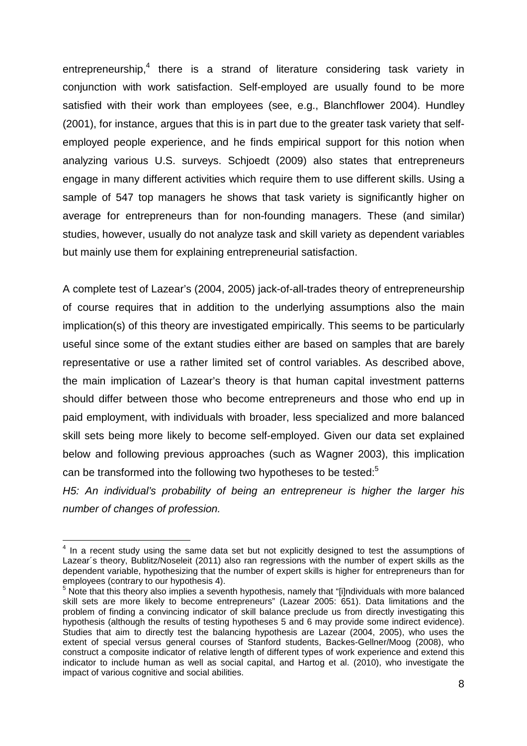entrepreneurship,<sup>4</sup> there is a strand of literature considering task variety in conjunction with work satisfaction. Self-employed are usually found to be more satisfied with their work than employees (see, e.g., Blanchflower 2004). Hundley (2001), for instance, argues that this is in part due to the greater task variety that selfemployed people experience, and he finds empirical support for this notion when analyzing various U.S. surveys. Schjoedt (2009) also states that entrepreneurs engage in many different activities which require them to use different skills. Using a sample of 547 top managers he shows that task variety is significantly higher on average for entrepreneurs than for non-founding managers. These (and similar) studies, however, usually do not analyze task and skill variety as dependent variables but mainly use them for explaining entrepreneurial satisfaction.

A complete test of Lazear's (2004, 2005) jack-of-all-trades theory of entrepreneurship of course requires that in addition to the underlying assumptions also the main implication(s) of this theory are investigated empirically. This seems to be particularly useful since some of the extant studies either are based on samples that are barely representative or use a rather limited set of control variables. As described above, the main implication of Lazear's theory is that human capital investment patterns should differ between those who become entrepreneurs and those who end up in paid employment, with individuals with broader, less specialized and more balanced skill sets being more likely to become self-employed. Given our data set explained below and following previous approaches (such as Wagner 2003), this implication can be transformed into the following two hypotheses to be tested.<sup>5</sup>

H5: An individual's probability of being an entrepreneur is higher the larger his number of changes of profession.

l  $4$  In a recent study using the same data set but not explicitly designed to test the assumptions of Lazear´s theory, Bublitz/Noseleit (2011) also ran regressions with the number of expert skills as the dependent variable, hypothesizing that the number of expert skills is higher for entrepreneurs than for employees (contrary to our hypothesis 4).

<sup>&</sup>lt;sup>5</sup> Note that this theory also implies a seventh hypothesis, namely that "[i]ndividuals with more balanced skill sets are more likely to become entrepreneurs" (Lazear 2005: 651). Data limitations and the problem of finding a convincing indicator of skill balance preclude us from directly investigating this hypothesis (although the results of testing hypotheses 5 and 6 may provide some indirect evidence). Studies that aim to directly test the balancing hypothesis are Lazear (2004, 2005), who uses the extent of special versus general courses of Stanford students, Backes-Gellner/Moog (2008), who construct a composite indicator of relative length of different types of work experience and extend this indicator to include human as well as social capital, and Hartog et al. (2010), who investigate the impact of various cognitive and social abilities.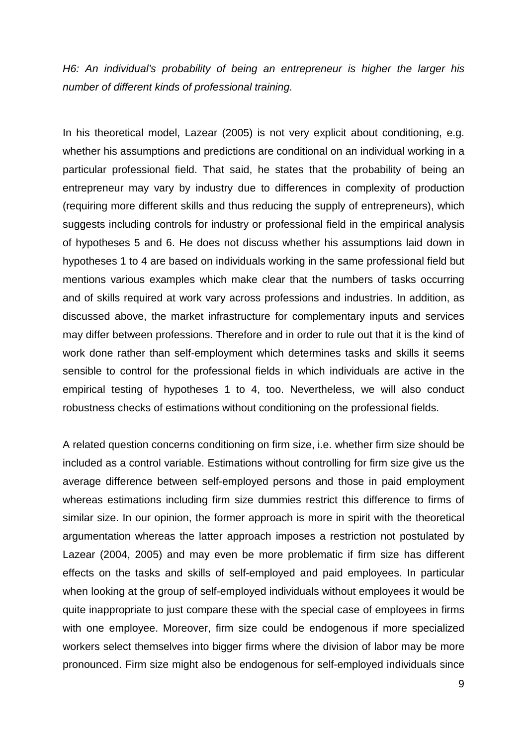H6: An individual's probability of being an entrepreneur is higher the larger his number of different kinds of professional training.

In his theoretical model, Lazear (2005) is not very explicit about conditioning, e.g. whether his assumptions and predictions are conditional on an individual working in a particular professional field. That said, he states that the probability of being an entrepreneur may vary by industry due to differences in complexity of production (requiring more different skills and thus reducing the supply of entrepreneurs), which suggests including controls for industry or professional field in the empirical analysis of hypotheses 5 and 6. He does not discuss whether his assumptions laid down in hypotheses 1 to 4 are based on individuals working in the same professional field but mentions various examples which make clear that the numbers of tasks occurring and of skills required at work vary across professions and industries. In addition, as discussed above, the market infrastructure for complementary inputs and services may differ between professions. Therefore and in order to rule out that it is the kind of work done rather than self-employment which determines tasks and skills it seems sensible to control for the professional fields in which individuals are active in the empirical testing of hypotheses 1 to 4, too. Nevertheless, we will also conduct robustness checks of estimations without conditioning on the professional fields.

A related question concerns conditioning on firm size, i.e. whether firm size should be included as a control variable. Estimations without controlling for firm size give us the average difference between self-employed persons and those in paid employment whereas estimations including firm size dummies restrict this difference to firms of similar size. In our opinion, the former approach is more in spirit with the theoretical argumentation whereas the latter approach imposes a restriction not postulated by Lazear (2004, 2005) and may even be more problematic if firm size has different effects on the tasks and skills of self-employed and paid employees. In particular when looking at the group of self-employed individuals without employees it would be quite inappropriate to just compare these with the special case of employees in firms with one employee. Moreover, firm size could be endogenous if more specialized workers select themselves into bigger firms where the division of labor may be more pronounced. Firm size might also be endogenous for self-employed individuals since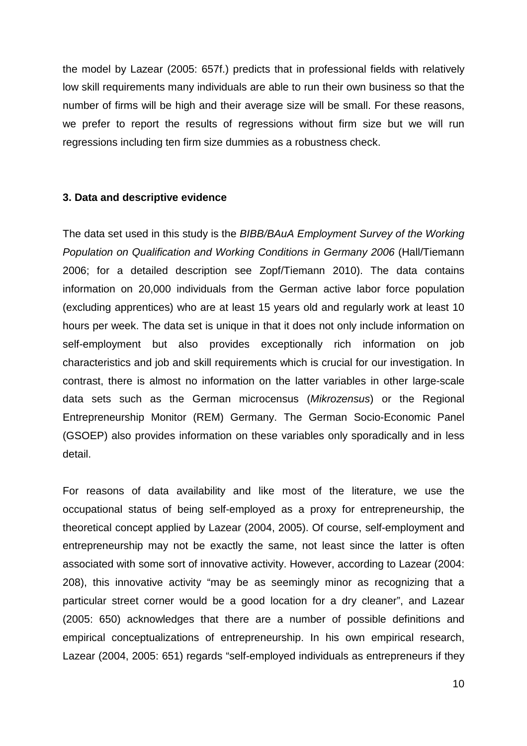the model by Lazear (2005: 657f.) predicts that in professional fields with relatively low skill requirements many individuals are able to run their own business so that the number of firms will be high and their average size will be small. For these reasons, we prefer to report the results of regressions without firm size but we will run regressions including ten firm size dummies as a robustness check.

### **3. Data and descriptive evidence**

The data set used in this study is the BIBB/BAuA Employment Survey of the Working Population on Qualification and Working Conditions in Germany 2006 (Hall/Tiemann 2006; for a detailed description see Zopf/Tiemann 2010). The data contains information on 20,000 individuals from the German active labor force population (excluding apprentices) who are at least 15 years old and regularly work at least 10 hours per week. The data set is unique in that it does not only include information on self-employment but also provides exceptionally rich information on job characteristics and job and skill requirements which is crucial for our investigation. In contrast, there is almost no information on the latter variables in other large-scale data sets such as the German microcensus (Mikrozensus) or the Regional Entrepreneurship Monitor (REM) Germany. The German Socio-Economic Panel (GSOEP) also provides information on these variables only sporadically and in less detail.

For reasons of data availability and like most of the literature, we use the occupational status of being self-employed as a proxy for entrepreneurship, the theoretical concept applied by Lazear (2004, 2005). Of course, self-employment and entrepreneurship may not be exactly the same, not least since the latter is often associated with some sort of innovative activity. However, according to Lazear (2004: 208), this innovative activity "may be as seemingly minor as recognizing that a particular street corner would be a good location for a dry cleaner", and Lazear (2005: 650) acknowledges that there are a number of possible definitions and empirical conceptualizations of entrepreneurship. In his own empirical research, Lazear (2004, 2005: 651) regards "self-employed individuals as entrepreneurs if they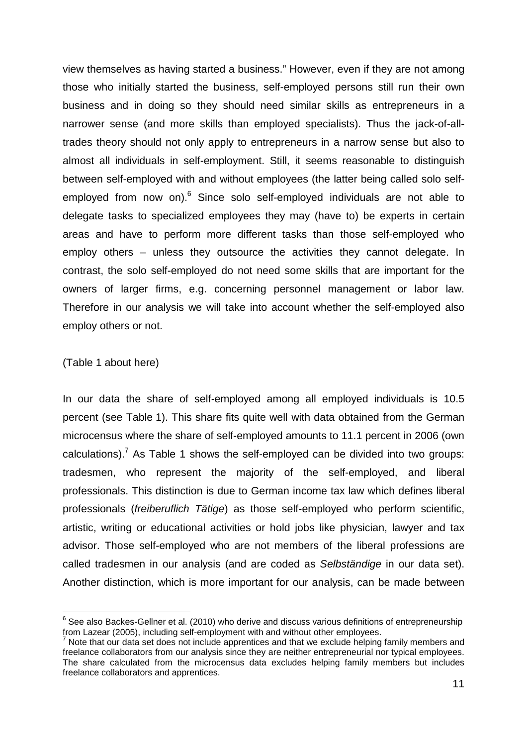view themselves as having started a business." However, even if they are not among those who initially started the business, self-employed persons still run their own business and in doing so they should need similar skills as entrepreneurs in a narrower sense (and more skills than employed specialists). Thus the jack-of-alltrades theory should not only apply to entrepreneurs in a narrow sense but also to almost all individuals in self-employment. Still, it seems reasonable to distinguish between self-employed with and without employees (the latter being called solo selfemployed from now on).<sup>6</sup> Since solo self-employed individuals are not able to delegate tasks to specialized employees they may (have to) be experts in certain areas and have to perform more different tasks than those self-employed who employ others – unless they outsource the activities they cannot delegate. In contrast, the solo self-employed do not need some skills that are important for the owners of larger firms, e.g. concerning personnel management or labor law. Therefore in our analysis we will take into account whether the self-employed also employ others or not.

(Table 1 about here)

In our data the share of self-employed among all employed individuals is 10.5 percent (see Table 1). This share fits quite well with data obtained from the German microcensus where the share of self-employed amounts to 11.1 percent in 2006 (own calculations).<sup>7</sup> As Table 1 shows the self-employed can be divided into two groups: tradesmen, who represent the majority of the self-employed, and liberal professionals. This distinction is due to German income tax law which defines liberal professionals (freiberuflich Tätige) as those self-employed who perform scientific, artistic, writing or educational activities or hold jobs like physician, lawyer and tax advisor. Those self-employed who are not members of the liberal professions are called tradesmen in our analysis (and are coded as Selbständige in our data set). Another distinction, which is more important for our analysis, can be made between

l  $^6$  See also Backes-Gellner et al. (2010) who derive and discuss various definitions of entrepreneurship from Lazear (2005), including self-employment with and without other employees.

 $7$  Note that our data set does not include apprentices and that we exclude helping family members and freelance collaborators from our analysis since they are neither entrepreneurial nor typical employees. The share calculated from the microcensus data excludes helping family members but includes freelance collaborators and apprentices.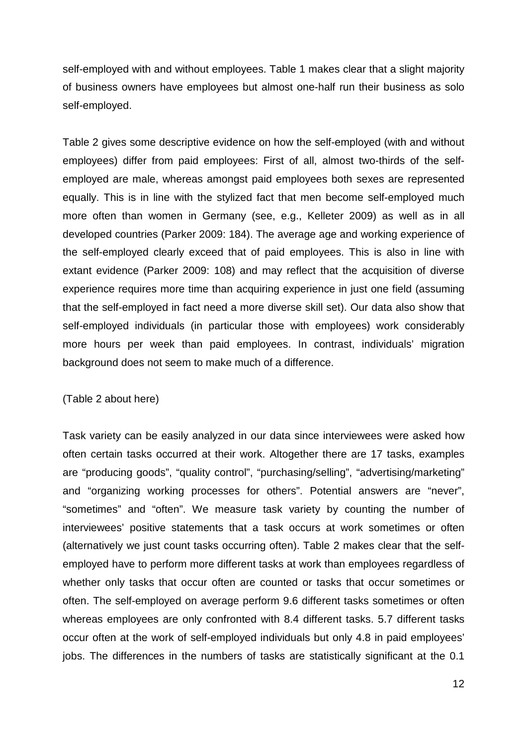self-employed with and without employees. Table 1 makes clear that a slight majority of business owners have employees but almost one-half run their business as solo self-employed.

Table 2 gives some descriptive evidence on how the self-employed (with and without employees) differ from paid employees: First of all, almost two-thirds of the selfemployed are male, whereas amongst paid employees both sexes are represented equally. This is in line with the stylized fact that men become self-employed much more often than women in Germany (see, e.g., Kelleter 2009) as well as in all developed countries (Parker 2009: 184). The average age and working experience of the self-employed clearly exceed that of paid employees. This is also in line with extant evidence (Parker 2009: 108) and may reflect that the acquisition of diverse experience requires more time than acquiring experience in just one field (assuming that the self-employed in fact need a more diverse skill set). Our data also show that self-employed individuals (in particular those with employees) work considerably more hours per week than paid employees. In contrast, individuals' migration background does not seem to make much of a difference.

## (Table 2 about here)

Task variety can be easily analyzed in our data since interviewees were asked how often certain tasks occurred at their work. Altogether there are 17 tasks, examples are "producing goods", "quality control", "purchasing/selling", "advertising/marketing" and "organizing working processes for others". Potential answers are "never", "sometimes" and "often". We measure task variety by counting the number of interviewees' positive statements that a task occurs at work sometimes or often (alternatively we just count tasks occurring often). Table 2 makes clear that the selfemployed have to perform more different tasks at work than employees regardless of whether only tasks that occur often are counted or tasks that occur sometimes or often. The self-employed on average perform 9.6 different tasks sometimes or often whereas employees are only confronted with 8.4 different tasks. 5.7 different tasks occur often at the work of self-employed individuals but only 4.8 in paid employees' jobs. The differences in the numbers of tasks are statistically significant at the 0.1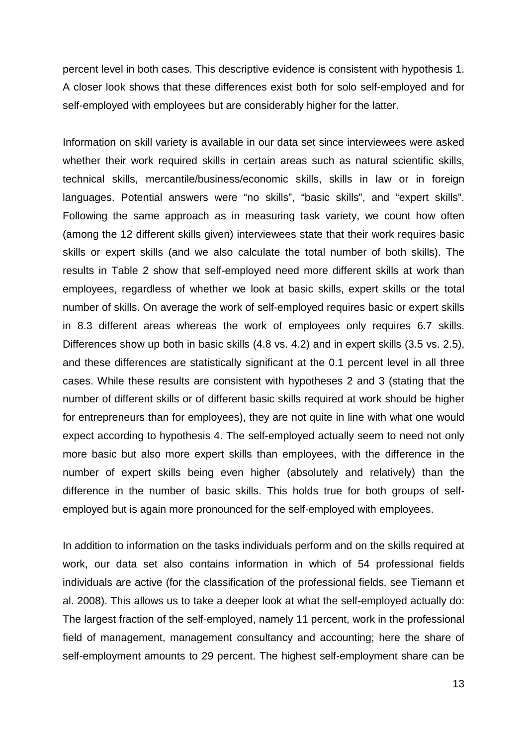percent level in both cases. This descriptive evidence is consistent with hypothesis 1. A closer look shows that these differences exist both for solo self-employed and for self-employed with employees but are considerably higher for the latter.

Information on skill variety is available in our data set since interviewees were asked whether their work required skills in certain areas such as natural scientific skills, technical skills, mercantile/business/economic skills, skills in law or in foreign languages. Potential answers were "no skills", "basic skills", and "expert skills". Following the same approach as in measuring task variety, we count how often (among the 12 different skills given) interviewees state that their work requires basic skills or expert skills (and we also calculate the total number of both skills). The results in Table 2 show that self-employed need more different skills at work than employees, regardless of whether we look at basic skills, expert skills or the total number of skills. On average the work of self-employed requires basic or expert skills in 8.3 different areas whereas the work of employees only requires 6.7 skills. Differences show up both in basic skills (4.8 vs. 4.2) and in expert skills (3.5 vs. 2.5), and these differences are statistically significant at the 0.1 percent level in all three cases. While these results are consistent with hypotheses 2 and 3 (stating that the number of different skills or of different basic skills required at work should be higher for entrepreneurs than for employees), they are not quite in line with what one would expect according to hypothesis 4. The self-employed actually seem to need not only more basic but also more expert skills than employees, with the difference in the number of expert skills being even higher (absolutely and relatively) than the difference in the number of basic skills. This holds true for both groups of selfemployed but is again more pronounced for the self-employed with employees.

In addition to information on the tasks individuals perform and on the skills required at work, our data set also contains information in which of 54 professional fields individuals are active (for the classification of the professional fields, see Tiemann et al. 2008). This allows us to take a deeper look at what the self-employed actually do: The largest fraction of the self-employed, namely 11 percent, work in the professional field of management, management consultancy and accounting; here the share of self-employment amounts to 29 percent. The highest self-employment share can be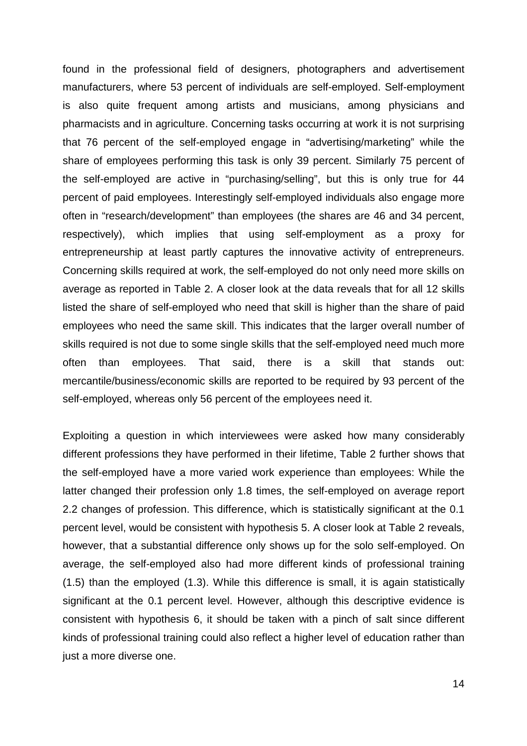found in the professional field of designers, photographers and advertisement manufacturers, where 53 percent of individuals are self-employed. Self-employment is also quite frequent among artists and musicians, among physicians and pharmacists and in agriculture. Concerning tasks occurring at work it is not surprising that 76 percent of the self-employed engage in "advertising/marketing" while the share of employees performing this task is only 39 percent. Similarly 75 percent of the self-employed are active in "purchasing/selling", but this is only true for 44 percent of paid employees. Interestingly self-employed individuals also engage more often in "research/development" than employees (the shares are 46 and 34 percent, respectively), which implies that using self-employment as a proxy for entrepreneurship at least partly captures the innovative activity of entrepreneurs. Concerning skills required at work, the self-employed do not only need more skills on average as reported in Table 2. A closer look at the data reveals that for all 12 skills listed the share of self-employed who need that skill is higher than the share of paid employees who need the same skill. This indicates that the larger overall number of skills required is not due to some single skills that the self-employed need much more often than employees. That said, there is a skill that stands out: mercantile/business/economic skills are reported to be required by 93 percent of the self-employed, whereas only 56 percent of the employees need it.

Exploiting a question in which interviewees were asked how many considerably different professions they have performed in their lifetime, Table 2 further shows that the self-employed have a more varied work experience than employees: While the latter changed their profession only 1.8 times, the self-employed on average report 2.2 changes of profession. This difference, which is statistically significant at the 0.1 percent level, would be consistent with hypothesis 5. A closer look at Table 2 reveals, however, that a substantial difference only shows up for the solo self-employed. On average, the self-employed also had more different kinds of professional training (1.5) than the employed (1.3). While this difference is small, it is again statistically significant at the 0.1 percent level. However, although this descriptive evidence is consistent with hypothesis 6, it should be taken with a pinch of salt since different kinds of professional training could also reflect a higher level of education rather than just a more diverse one.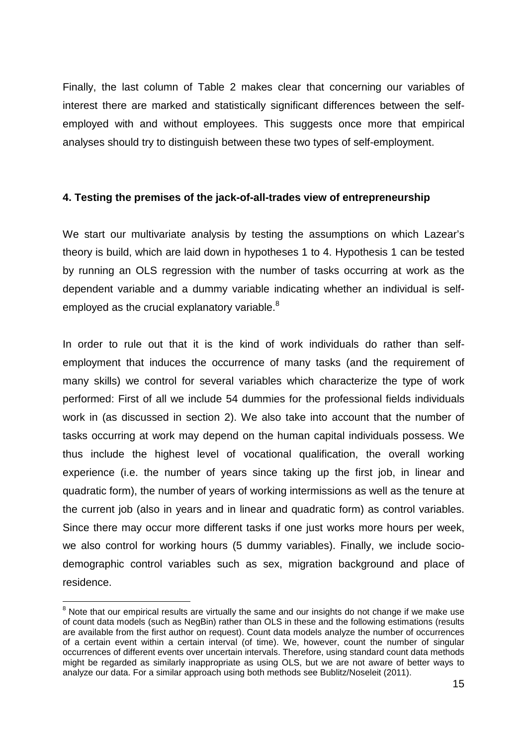Finally, the last column of Table 2 makes clear that concerning our variables of interest there are marked and statistically significant differences between the selfemployed with and without employees. This suggests once more that empirical analyses should try to distinguish between these two types of self-employment.

# **4. Testing the premises of the jack-of-all-trades view of entrepreneurship**

We start our multivariate analysis by testing the assumptions on which Lazear's theory is build, which are laid down in hypotheses 1 to 4. Hypothesis 1 can be tested by running an OLS regression with the number of tasks occurring at work as the dependent variable and a dummy variable indicating whether an individual is selfemployed as the crucial explanatory variable. $8<sup>8</sup>$ 

In order to rule out that it is the kind of work individuals do rather than selfemployment that induces the occurrence of many tasks (and the requirement of many skills) we control for several variables which characterize the type of work performed: First of all we include 54 dummies for the professional fields individuals work in (as discussed in section 2). We also take into account that the number of tasks occurring at work may depend on the human capital individuals possess. We thus include the highest level of vocational qualification, the overall working experience (i.e. the number of years since taking up the first job, in linear and quadratic form), the number of years of working intermissions as well as the tenure at the current job (also in years and in linear and quadratic form) as control variables. Since there may occur more different tasks if one just works more hours per week, we also control for working hours (5 dummy variables). Finally, we include sociodemographic control variables such as sex, migration background and place of residence.

l

 $8$  Note that our empirical results are virtually the same and our insights do not change if we make use of count data models (such as NegBin) rather than OLS in these and the following estimations (results are available from the first author on request). Count data models analyze the number of occurrences of a certain event within a certain interval (of time). We, however, count the number of singular occurrences of different events over uncertain intervals. Therefore, using standard count data methods might be regarded as similarly inappropriate as using OLS, but we are not aware of better ways to analyze our data. For a similar approach using both methods see Bublitz/Noseleit (2011).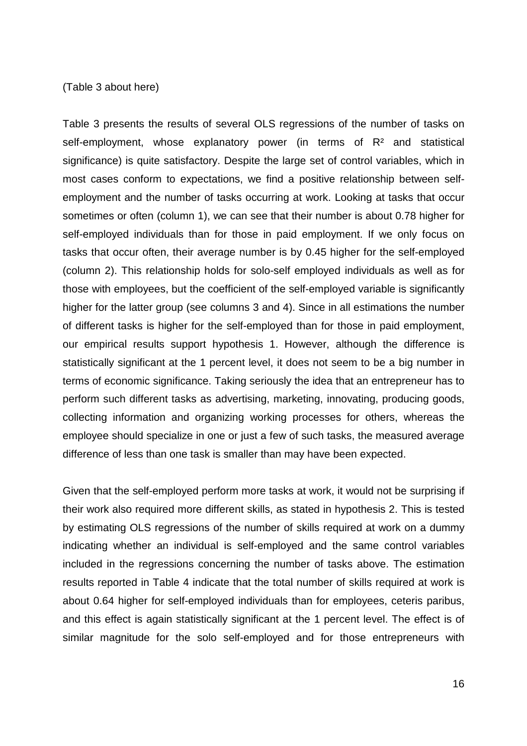#### (Table 3 about here)

Table 3 presents the results of several OLS regressions of the number of tasks on self-employment, whose explanatory power (in terms of R<sup>2</sup> and statistical significance) is quite satisfactory. Despite the large set of control variables, which in most cases conform to expectations, we find a positive relationship between selfemployment and the number of tasks occurring at work. Looking at tasks that occur sometimes or often (column 1), we can see that their number is about 0.78 higher for self-employed individuals than for those in paid employment. If we only focus on tasks that occur often, their average number is by 0.45 higher for the self-employed (column 2). This relationship holds for solo-self employed individuals as well as for those with employees, but the coefficient of the self-employed variable is significantly higher for the latter group (see columns 3 and 4). Since in all estimations the number of different tasks is higher for the self-employed than for those in paid employment, our empirical results support hypothesis 1. However, although the difference is statistically significant at the 1 percent level, it does not seem to be a big number in terms of economic significance. Taking seriously the idea that an entrepreneur has to perform such different tasks as advertising, marketing, innovating, producing goods, collecting information and organizing working processes for others, whereas the employee should specialize in one or just a few of such tasks, the measured average difference of less than one task is smaller than may have been expected.

Given that the self-employed perform more tasks at work, it would not be surprising if their work also required more different skills, as stated in hypothesis 2. This is tested by estimating OLS regressions of the number of skills required at work on a dummy indicating whether an individual is self-employed and the same control variables included in the regressions concerning the number of tasks above. The estimation results reported in Table 4 indicate that the total number of skills required at work is about 0.64 higher for self-employed individuals than for employees, ceteris paribus, and this effect is again statistically significant at the 1 percent level. The effect is of similar magnitude for the solo self-employed and for those entrepreneurs with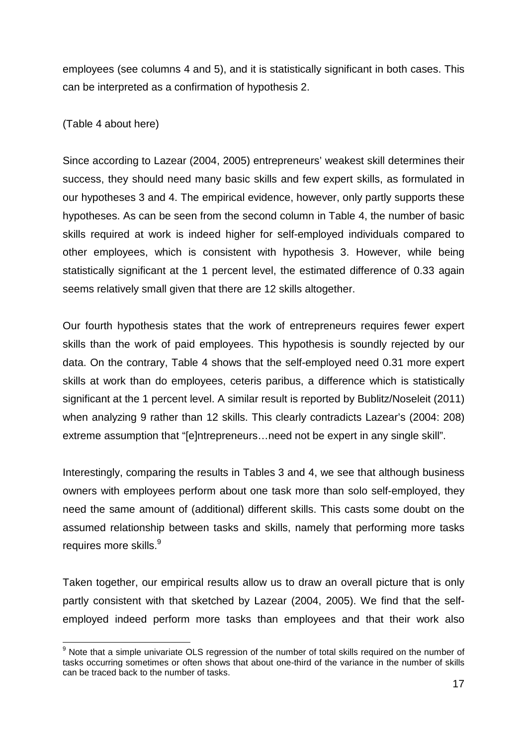employees (see columns 4 and 5), and it is statistically significant in both cases. This can be interpreted as a confirmation of hypothesis 2.

(Table 4 about here)

Since according to Lazear (2004, 2005) entrepreneurs' weakest skill determines their success, they should need many basic skills and few expert skills, as formulated in our hypotheses 3 and 4. The empirical evidence, however, only partly supports these hypotheses. As can be seen from the second column in Table 4, the number of basic skills required at work is indeed higher for self-employed individuals compared to other employees, which is consistent with hypothesis 3. However, while being statistically significant at the 1 percent level, the estimated difference of 0.33 again seems relatively small given that there are 12 skills altogether.

Our fourth hypothesis states that the work of entrepreneurs requires fewer expert skills than the work of paid employees. This hypothesis is soundly rejected by our data. On the contrary, Table 4 shows that the self-employed need 0.31 more expert skills at work than do employees, ceteris paribus, a difference which is statistically significant at the 1 percent level. A similar result is reported by Bublitz/Noseleit (2011) when analyzing 9 rather than 12 skills. This clearly contradicts Lazear's (2004: 208) extreme assumption that "[e]ntrepreneurs…need not be expert in any single skill".

Interestingly, comparing the results in Tables 3 and 4, we see that although business owners with employees perform about one task more than solo self-employed, they need the same amount of (additional) different skills. This casts some doubt on the assumed relationship between tasks and skills, namely that performing more tasks requires more skills.<sup>9</sup>

Taken together, our empirical results allow us to draw an overall picture that is only partly consistent with that sketched by Lazear (2004, 2005). We find that the selfemployed indeed perform more tasks than employees and that their work also

l <sup>9</sup> Note that a simple univariate OLS regression of the number of total skills required on the number of tasks occurring sometimes or often shows that about one-third of the variance in the number of skills can be traced back to the number of tasks.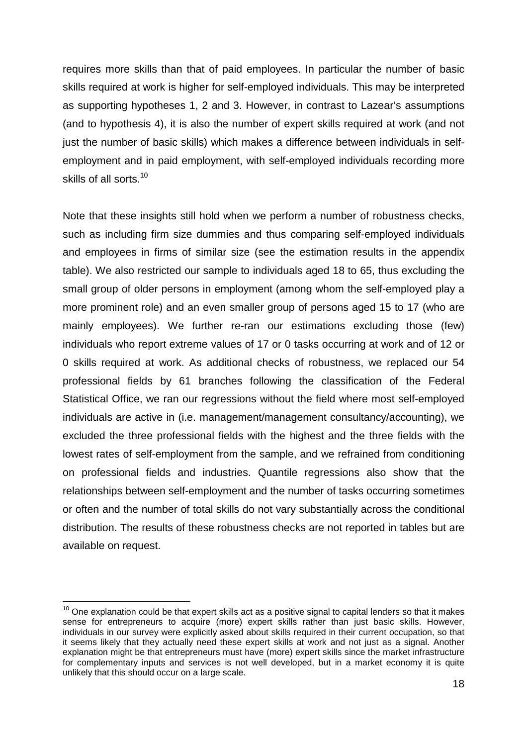requires more skills than that of paid employees. In particular the number of basic skills required at work is higher for self-employed individuals. This may be interpreted as supporting hypotheses 1, 2 and 3. However, in contrast to Lazear's assumptions (and to hypothesis 4), it is also the number of expert skills required at work (and not just the number of basic skills) which makes a difference between individuals in selfemployment and in paid employment, with self-employed individuals recording more skills of all sorts.<sup>10</sup>

Note that these insights still hold when we perform a number of robustness checks, such as including firm size dummies and thus comparing self-employed individuals and employees in firms of similar size (see the estimation results in the appendix table). We also restricted our sample to individuals aged 18 to 65, thus excluding the small group of older persons in employment (among whom the self-employed play a more prominent role) and an even smaller group of persons aged 15 to 17 (who are mainly employees). We further re-ran our estimations excluding those (few) individuals who report extreme values of 17 or 0 tasks occurring at work and of 12 or 0 skills required at work. As additional checks of robustness, we replaced our 54 professional fields by 61 branches following the classification of the Federal Statistical Office, we ran our regressions without the field where most self-employed individuals are active in (i.e. management/management consultancy/accounting), we excluded the three professional fields with the highest and the three fields with the lowest rates of self-employment from the sample, and we refrained from conditioning on professional fields and industries. Quantile regressions also show that the relationships between self-employment and the number of tasks occurring sometimes or often and the number of total skills do not vary substantially across the conditional distribution. The results of these robustness checks are not reported in tables but are available on request.

l  $10$  One explanation could be that expert skills act as a positive signal to capital lenders so that it makes sense for entrepreneurs to acquire (more) expert skills rather than just basic skills. However, individuals in our survey were explicitly asked about skills required in their current occupation, so that it seems likely that they actually need these expert skills at work and not just as a signal. Another explanation might be that entrepreneurs must have (more) expert skills since the market infrastructure for complementary inputs and services is not well developed, but in a market economy it is quite unlikely that this should occur on a large scale.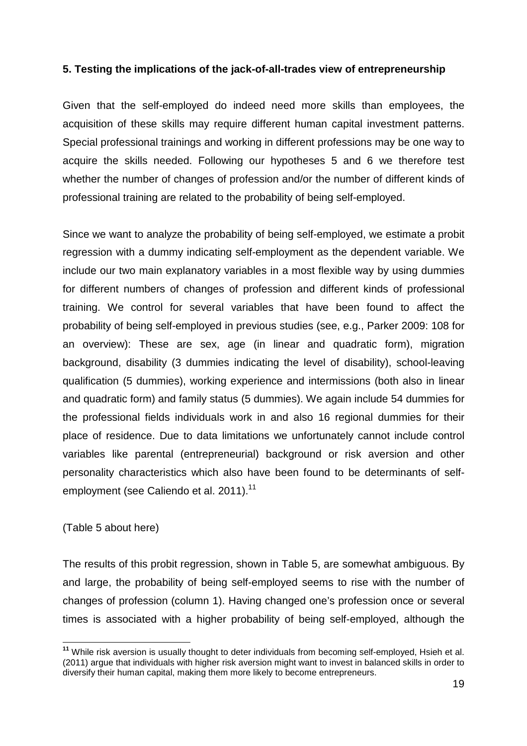# **5. Testing the implications of the jack-of-all-trades view of entrepreneurship**

Given that the self-employed do indeed need more skills than employees, the acquisition of these skills may require different human capital investment patterns. Special professional trainings and working in different professions may be one way to acquire the skills needed. Following our hypotheses 5 and 6 we therefore test whether the number of changes of profession and/or the number of different kinds of professional training are related to the probability of being self-employed.

Since we want to analyze the probability of being self-employed, we estimate a probit regression with a dummy indicating self-employment as the dependent variable. We include our two main explanatory variables in a most flexible way by using dummies for different numbers of changes of profession and different kinds of professional training. We control for several variables that have been found to affect the probability of being self-employed in previous studies (see, e.g., Parker 2009: 108 for an overview): These are sex, age (in linear and quadratic form), migration background, disability (3 dummies indicating the level of disability), school-leaving qualification (5 dummies), working experience and intermissions (both also in linear and quadratic form) and family status (5 dummies). We again include 54 dummies for the professional fields individuals work in and also 16 regional dummies for their place of residence. Due to data limitations we unfortunately cannot include control variables like parental (entrepreneurial) background or risk aversion and other personality characteristics which also have been found to be determinants of selfemployment (see Caliendo et al. 2011).<sup>11</sup>

## (Table 5 about here)

The results of this probit regression, shown in Table 5, are somewhat ambiguous. By and large, the probability of being self-employed seems to rise with the number of changes of profession (column 1). Having changed one's profession once or several times is associated with a higher probability of being self-employed, although the

l **<sup>11</sup>** While risk aversion is usually thought to deter individuals from becoming self-employed, Hsieh et al. (2011) argue that individuals with higher risk aversion might want to invest in balanced skills in order to diversify their human capital, making them more likely to become entrepreneurs.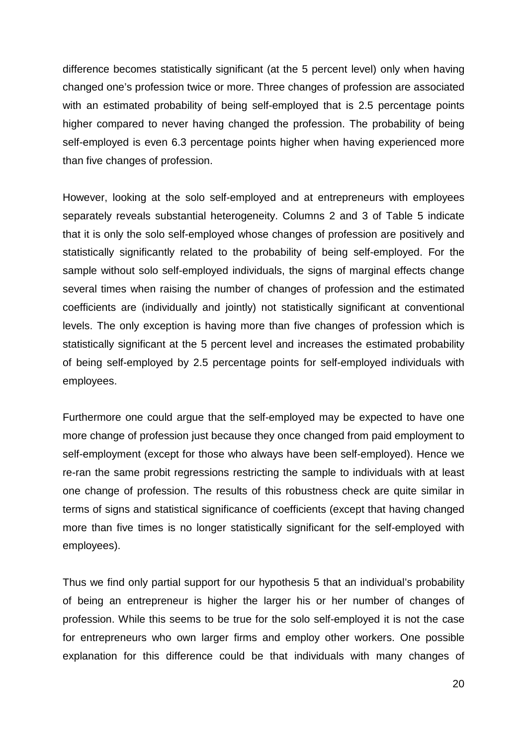difference becomes statistically significant (at the 5 percent level) only when having changed one's profession twice or more. Three changes of profession are associated with an estimated probability of being self-employed that is 2.5 percentage points higher compared to never having changed the profession. The probability of being self-employed is even 6.3 percentage points higher when having experienced more than five changes of profession.

However, looking at the solo self-employed and at entrepreneurs with employees separately reveals substantial heterogeneity. Columns 2 and 3 of Table 5 indicate that it is only the solo self-employed whose changes of profession are positively and statistically significantly related to the probability of being self-employed. For the sample without solo self-employed individuals, the signs of marginal effects change several times when raising the number of changes of profession and the estimated coefficients are (individually and jointly) not statistically significant at conventional levels. The only exception is having more than five changes of profession which is statistically significant at the 5 percent level and increases the estimated probability of being self-employed by 2.5 percentage points for self-employed individuals with employees.

Furthermore one could argue that the self-employed may be expected to have one more change of profession just because they once changed from paid employment to self-employment (except for those who always have been self-employed). Hence we re-ran the same probit regressions restricting the sample to individuals with at least one change of profession. The results of this robustness check are quite similar in terms of signs and statistical significance of coefficients (except that having changed more than five times is no longer statistically significant for the self-employed with employees).

Thus we find only partial support for our hypothesis 5 that an individual's probability of being an entrepreneur is higher the larger his or her number of changes of profession. While this seems to be true for the solo self-employed it is not the case for entrepreneurs who own larger firms and employ other workers. One possible explanation for this difference could be that individuals with many changes of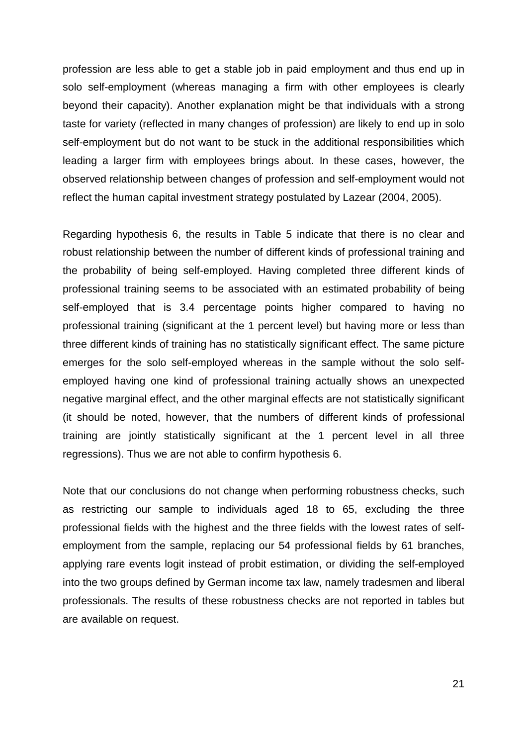profession are less able to get a stable job in paid employment and thus end up in solo self-employment (whereas managing a firm with other employees is clearly beyond their capacity). Another explanation might be that individuals with a strong taste for variety (reflected in many changes of profession) are likely to end up in solo self-employment but do not want to be stuck in the additional responsibilities which leading a larger firm with employees brings about. In these cases, however, the observed relationship between changes of profession and self-employment would not reflect the human capital investment strategy postulated by Lazear (2004, 2005).

Regarding hypothesis 6, the results in Table 5 indicate that there is no clear and robust relationship between the number of different kinds of professional training and the probability of being self-employed. Having completed three different kinds of professional training seems to be associated with an estimated probability of being self-employed that is 3.4 percentage points higher compared to having no professional training (significant at the 1 percent level) but having more or less than three different kinds of training has no statistically significant effect. The same picture emerges for the solo self-employed whereas in the sample without the solo selfemployed having one kind of professional training actually shows an unexpected negative marginal effect, and the other marginal effects are not statistically significant (it should be noted, however, that the numbers of different kinds of professional training are jointly statistically significant at the 1 percent level in all three regressions). Thus we are not able to confirm hypothesis 6.

Note that our conclusions do not change when performing robustness checks, such as restricting our sample to individuals aged 18 to 65, excluding the three professional fields with the highest and the three fields with the lowest rates of selfemployment from the sample, replacing our 54 professional fields by 61 branches, applying rare events logit instead of probit estimation, or dividing the self-employed into the two groups defined by German income tax law, namely tradesmen and liberal professionals. The results of these robustness checks are not reported in tables but are available on request.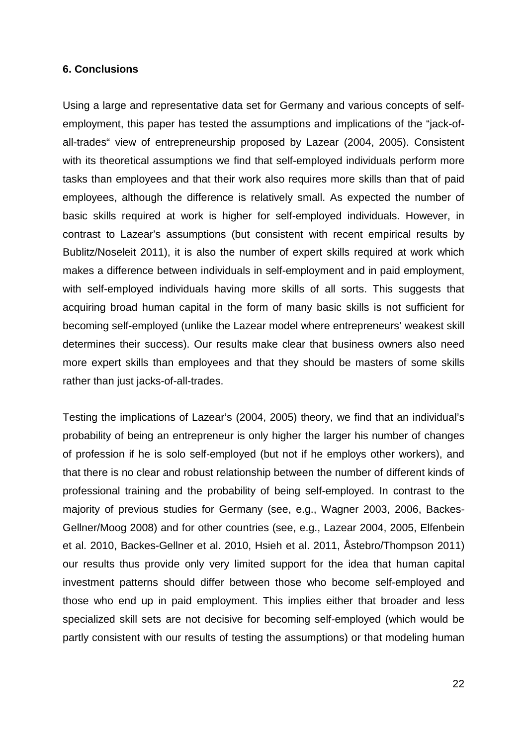### **6. Conclusions**

Using a large and representative data set for Germany and various concepts of selfemployment, this paper has tested the assumptions and implications of the "jack-ofall-trades" view of entrepreneurship proposed by Lazear (2004, 2005). Consistent with its theoretical assumptions we find that self-employed individuals perform more tasks than employees and that their work also requires more skills than that of paid employees, although the difference is relatively small. As expected the number of basic skills required at work is higher for self-employed individuals. However, in contrast to Lazear's assumptions (but consistent with recent empirical results by Bublitz/Noseleit 2011), it is also the number of expert skills required at work which makes a difference between individuals in self-employment and in paid employment, with self-employed individuals having more skills of all sorts. This suggests that acquiring broad human capital in the form of many basic skills is not sufficient for becoming self-employed (unlike the Lazear model where entrepreneurs' weakest skill determines their success). Our results make clear that business owners also need more expert skills than employees and that they should be masters of some skills rather than just jacks-of-all-trades.

Testing the implications of Lazear's (2004, 2005) theory, we find that an individual's probability of being an entrepreneur is only higher the larger his number of changes of profession if he is solo self-employed (but not if he employs other workers), and that there is no clear and robust relationship between the number of different kinds of professional training and the probability of being self-employed. In contrast to the majority of previous studies for Germany (see, e.g., Wagner 2003, 2006, Backes-Gellner/Moog 2008) and for other countries (see, e.g., Lazear 2004, 2005, Elfenbein et al. 2010, Backes-Gellner et al. 2010, Hsieh et al. 2011, Åstebro/Thompson 2011) our results thus provide only very limited support for the idea that human capital investment patterns should differ between those who become self-employed and those who end up in paid employment. This implies either that broader and less specialized skill sets are not decisive for becoming self-employed (which would be partly consistent with our results of testing the assumptions) or that modeling human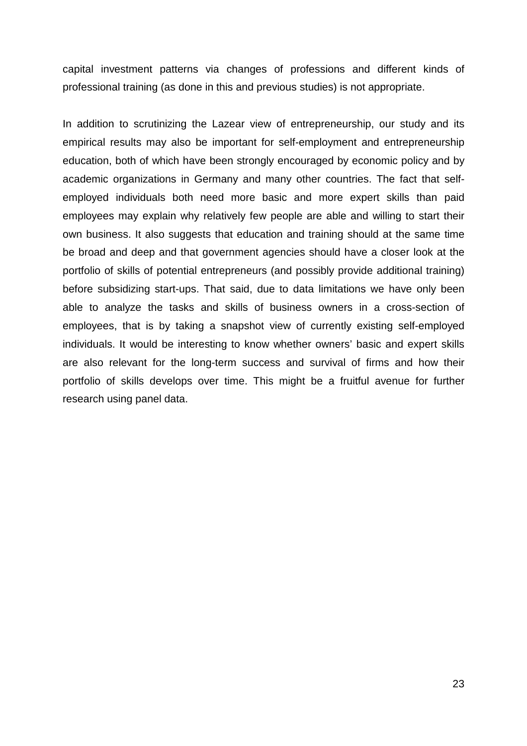capital investment patterns via changes of professions and different kinds of professional training (as done in this and previous studies) is not appropriate.

In addition to scrutinizing the Lazear view of entrepreneurship, our study and its empirical results may also be important for self-employment and entrepreneurship education, both of which have been strongly encouraged by economic policy and by academic organizations in Germany and many other countries. The fact that selfemployed individuals both need more basic and more expert skills than paid employees may explain why relatively few people are able and willing to start their own business. It also suggests that education and training should at the same time be broad and deep and that government agencies should have a closer look at the portfolio of skills of potential entrepreneurs (and possibly provide additional training) before subsidizing start-ups. That said, due to data limitations we have only been able to analyze the tasks and skills of business owners in a cross-section of employees, that is by taking a snapshot view of currently existing self-employed individuals. It would be interesting to know whether owners' basic and expert skills are also relevant for the long-term success and survival of firms and how their portfolio of skills develops over time. This might be a fruitful avenue for further research using panel data.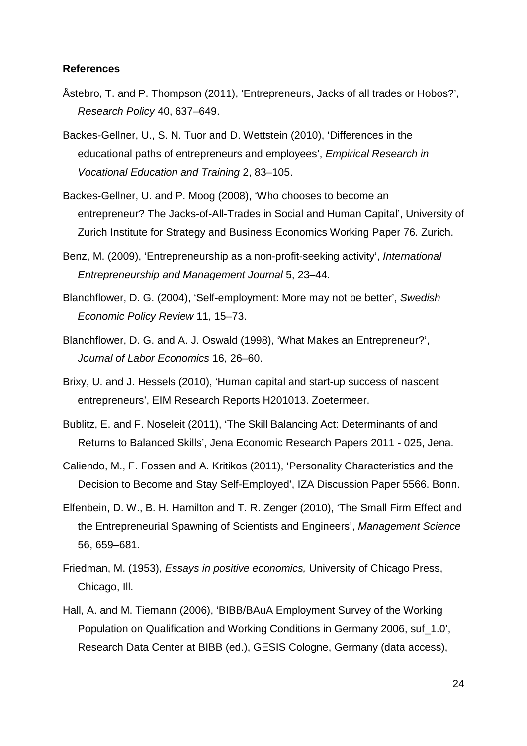#### **References**

- Åstebro, T. and P. Thompson (2011), 'Entrepreneurs, Jacks of all trades or Hobos?', Research Policy 40, 637–649.
- Backes-Gellner, U., S. N. Tuor and D. Wettstein (2010), 'Differences in the educational paths of entrepreneurs and employees', Empirical Research in Vocational Education and Training 2, 83–105.
- Backes-Gellner, U. and P. Moog (2008), 'Who chooses to become an entrepreneur? The Jacks-of-All-Trades in Social and Human Capital', University of Zurich Institute for Strategy and Business Economics Working Paper 76. Zurich.
- Benz, M. (2009), 'Entrepreneurship as a non-profit-seeking activity', International Entrepreneurship and Management Journal 5, 23–44.
- Blanchflower, D. G. (2004), 'Self-employment: More may not be better', Swedish Economic Policy Review 11, 15–73.
- Blanchflower, D. G. and A. J. Oswald (1998), 'What Makes an Entrepreneur?', Journal of Labor Economics 16, 26–60.
- Brixy, U. and J. Hessels (2010), 'Human capital and start-up success of nascent entrepreneurs', EIM Research Reports H201013. Zoetermeer.
- Bublitz, E. and F. Noseleit (2011), 'The Skill Balancing Act: Determinants of and Returns to Balanced Skills', Jena Economic Research Papers 2011 - 025, Jena.
- Caliendo, M., F. Fossen and A. Kritikos (2011), 'Personality Characteristics and the Decision to Become and Stay Self-Employed', IZA Discussion Paper 5566. Bonn.
- Elfenbein, D. W., B. H. Hamilton and T. R. Zenger (2010), 'The Small Firm Effect and the Entrepreneurial Spawning of Scientists and Engineers', Management Science 56, 659–681.
- Friedman, M. (1953), Essays in positive economics, University of Chicago Press, Chicago, Ill.
- Hall, A. and M. Tiemann (2006), 'BIBB/BAuA Employment Survey of the Working Population on Qualification and Working Conditions in Germany 2006, suf\_1.0', Research Data Center at BIBB (ed.), GESIS Cologne, Germany (data access),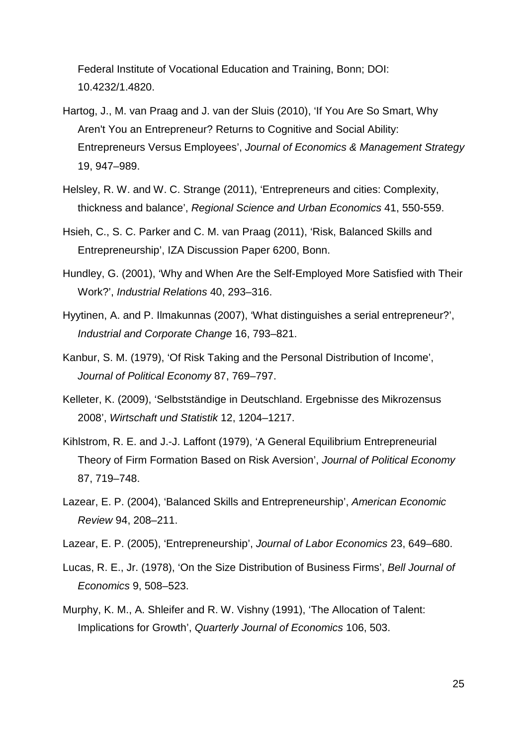Federal Institute of Vocational Education and Training, Bonn; DOI: 10.4232/1.4820.

- Hartog, J., M. van Praag and J. van der Sluis (2010), 'If You Are So Smart, Why Aren't You an Entrepreneur? Returns to Cognitive and Social Ability: Entrepreneurs Versus Employees', Journal of Economics & Management Strategy 19, 947–989.
- Helsley, R. W. and W. C. Strange (2011), 'Entrepreneurs and cities: Complexity, thickness and balance', Regional Science and Urban Economics 41, 550-559.
- Hsieh, C., S. C. Parker and C. M. van Praag (2011), 'Risk, Balanced Skills and Entrepreneurship', IZA Discussion Paper 6200, Bonn.
- Hundley, G. (2001), 'Why and When Are the Self-Employed More Satisfied with Their Work?', Industrial Relations 40, 293–316.
- Hyytinen, A. and P. Ilmakunnas (2007), 'What distinguishes a serial entrepreneur?', Industrial and Corporate Change 16, 793–821.
- Kanbur, S. M. (1979), 'Of Risk Taking and the Personal Distribution of Income', Journal of Political Economy 87, 769–797.
- Kelleter, K. (2009), 'Selbstständige in Deutschland. Ergebnisse des Mikrozensus 2008', Wirtschaft und Statistik 12, 1204–1217.
- Kihlstrom, R. E. and J.-J. Laffont (1979), 'A General Equilibrium Entrepreneurial Theory of Firm Formation Based on Risk Aversion', Journal of Political Economy 87, 719–748.
- Lazear, E. P. (2004), 'Balanced Skills and Entrepreneurship', American Economic Review 94, 208–211.
- Lazear, E. P. (2005), 'Entrepreneurship', Journal of Labor Economics 23, 649–680.
- Lucas, R. E., Jr. (1978), 'On the Size Distribution of Business Firms', Bell Journal of Economics 9, 508–523.
- Murphy, K. M., A. Shleifer and R. W. Vishny (1991), 'The Allocation of Talent: Implications for Growth', Quarterly Journal of Economics 106, 503.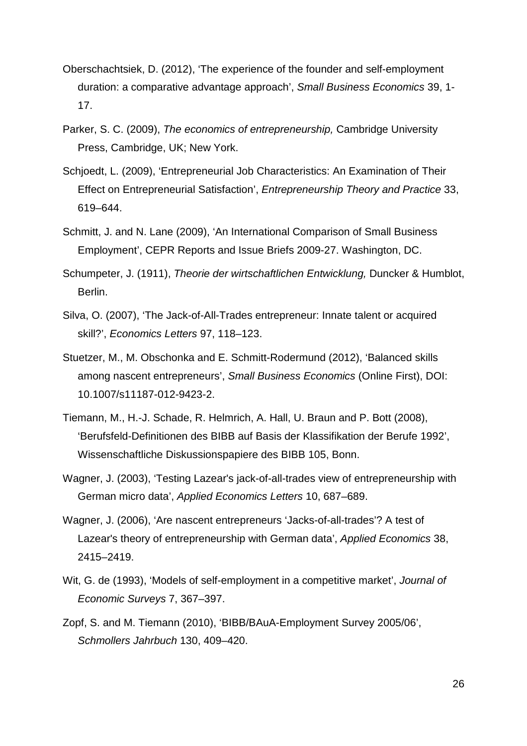- Oberschachtsiek, D. (2012), 'The experience of the founder and self-employment duration: a comparative advantage approach', Small Business Economics 39, 1- 17.
- Parker, S. C. (2009), The economics of entrepreneurship, Cambridge University Press, Cambridge, UK; New York.
- Schjoedt, L. (2009), 'Entrepreneurial Job Characteristics: An Examination of Their Effect on Entrepreneurial Satisfaction', Entrepreneurship Theory and Practice 33, 619–644.
- Schmitt, J. and N. Lane (2009), 'An International Comparison of Small Business Employment', CEPR Reports and Issue Briefs 2009-27. Washington, DC.
- Schumpeter, J. (1911), Theorie der wirtschaftlichen Entwicklung, Duncker & Humblot, Berlin.
- Silva, O. (2007), 'The Jack-of-All-Trades entrepreneur: Innate talent or acquired skill?', Economics Letters 97, 118–123.
- Stuetzer, M., M. Obschonka and E. Schmitt-Rodermund (2012), 'Balanced skills among nascent entrepreneurs', Small Business Economics (Online First), DOI: 10.1007/s11187-012-9423-2.
- Tiemann, M., H.-J. Schade, R. Helmrich, A. Hall, U. Braun and P. Bott (2008), 'Berufsfeld-Definitionen des BIBB auf Basis der Klassifikation der Berufe 1992', Wissenschaftliche Diskussionspapiere des BIBB 105, Bonn.
- Wagner, J. (2003), 'Testing Lazear's jack-of-all-trades view of entrepreneurship with German micro data', Applied Economics Letters 10, 687–689.
- Wagner, J. (2006), 'Are nascent entrepreneurs 'Jacks-of-all-trades'? A test of Lazear's theory of entrepreneurship with German data', Applied Economics 38, 2415–2419.
- Wit, G. de (1993), 'Models of self-employment in a competitive market', Journal of Economic Surveys 7, 367–397.
- Zopf, S. and M. Tiemann (2010), 'BIBB/BAuA-Employment Survey 2005/06', Schmollers Jahrbuch 130, 409–420.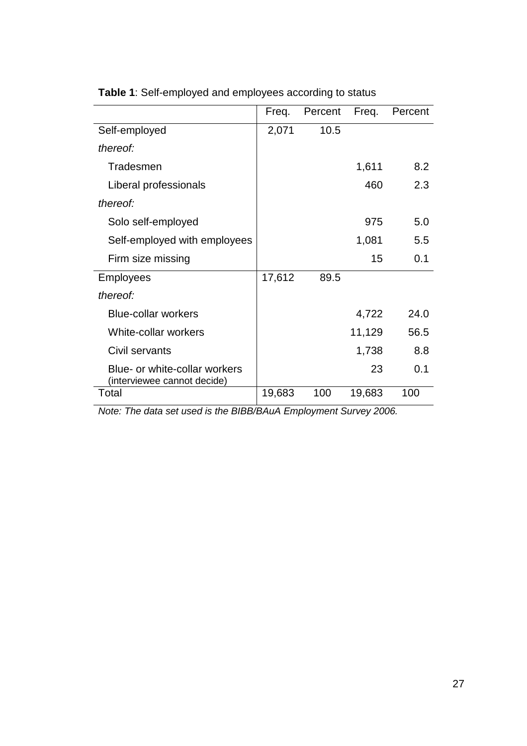|                                                              | Freq.  | Percent | Freq.  | Percent |
|--------------------------------------------------------------|--------|---------|--------|---------|
| Self-employed                                                | 2,071  | 10.5    |        |         |
| thereof:                                                     |        |         |        |         |
| Tradesmen                                                    |        |         | 1,611  | 8.2     |
| Liberal professionals                                        |        |         | 460    | 2.3     |
| thereof:                                                     |        |         |        |         |
| Solo self-employed                                           |        |         | 975    | 5.0     |
| Self-employed with employees                                 |        |         | 1,081  | 5.5     |
| Firm size missing                                            |        |         | 15     | 0.1     |
| <b>Employees</b>                                             | 17,612 | 89.5    |        |         |
| thereof:                                                     |        |         |        |         |
| <b>Blue-collar workers</b>                                   |        |         | 4,722  | 24.0    |
| White-collar workers                                         |        |         | 11,129 | 56.5    |
| Civil servants                                               |        |         | 1,738  | 8.8     |
| Blue- or white-collar workers<br>(interviewee cannot decide) |        |         | 23     | 0.1     |
| Total                                                        | 19,683 | 100     | 19,683 | 100     |

**Table 1**: Self-employed and employees according to status

Note: The data set used is the BIBB/BAuA Employment Survey 2006.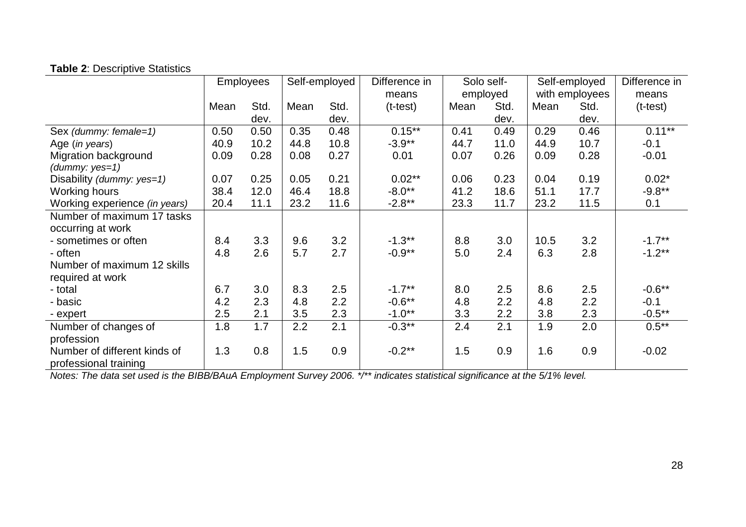|                               |      | <b>Employees</b> | Self-employed |      | Difference in | Solo self- |          | Self-employed |                | Difference in |
|-------------------------------|------|------------------|---------------|------|---------------|------------|----------|---------------|----------------|---------------|
|                               |      |                  |               |      | means         |            | employed |               | with employees | means         |
|                               | Mean | Std.             | Mean          | Std. | $(t-test)$    | Mean       | Std.     | Mean          | Std.           | $(t-test)$    |
|                               |      | dev.             |               | dev. |               |            | dev.     |               | dev.           |               |
| Sex (dummy: female=1)         | 0.50 | 0.50             | 0.35          | 0.48 | $0.15***$     | 0.41       | 0.49     | 0.29          | 0.46           | $0.11***$     |
| Age (in years)                | 40.9 | 10.2             | 44.8          | 10.8 | $-3.9**$      | 44.7       | 11.0     | 44.9          | 10.7           | $-0.1$        |
| Migration background          | 0.09 | 0.28             | 0.08          | 0.27 | 0.01          | 0.07       | 0.26     | 0.09          | 0.28           | $-0.01$       |
| $(dummy: yes=1)$              |      |                  |               |      |               |            |          |               |                |               |
| Disability (dummy: yes=1)     | 0.07 | 0.25             | 0.05          | 0.21 | $0.02**$      | 0.06       | 0.23     | 0.04          | 0.19           | $0.02*$       |
| Working hours                 | 38.4 | 12.0             | 46.4          | 18.8 | $-8.0**$      | 41.2       | 18.6     | 51.1          | 17.7           | $-9.8**$      |
| Working experience (in years) | 20.4 | 11.1             | 23.2          | 11.6 | $-2.8**$      | 23.3       | 11.7     | 23.2          | 11.5           | 0.1           |
| Number of maximum 17 tasks    |      |                  |               |      |               |            |          |               |                |               |
| occurring at work             |      |                  |               |      |               |            |          |               |                |               |
| - sometimes or often          | 8.4  | 3.3              | 9.6           | 3.2  | $-1.3***$     | 8.8        | 3.0      | 10.5          | 3.2            | $-1.7**$      |
| - often                       | 4.8  | 2.6              | 5.7           | 2.7  | $-0.9**$      | 5.0        | 2.4      | 6.3           | 2.8            | $-1.2**$      |
| Number of maximum 12 skills   |      |                  |               |      |               |            |          |               |                |               |
| required at work              |      |                  |               |      |               |            |          |               |                |               |
| - total                       | 6.7  | 3.0              | 8.3           | 2.5  | $-1.7**$      | 8.0        | 2.5      | 8.6           | 2.5            | $-0.6**$      |
| - basic                       | 4.2  | 2.3              | 4.8           | 2.2  | $-0.6**$      | 4.8        | 2.2      | 4.8           | 2.2            | $-0.1$        |
| - expert                      | 2.5  | 2.1              | 3.5           | 2.3  | $-1.0**$      | 3.3        | 2.2      | 3.8           | 2.3            | $-0.5***$     |
| Number of changes of          | 1.8  | 1.7              | 2.2           | 2.1  | $-0.3**$      | 2.4        | 2.1      | 1.9           | 2.0            | $0.5***$      |
| profession                    |      |                  |               |      |               |            |          |               |                |               |
| Number of different kinds of  | 1.3  | 0.8              | 1.5           | 0.9  | $-0.2**$      | 1.5        | 0.9      | 1.6           | 0.9            | $-0.02$       |
| professional training         |      |                  |               |      |               |            |          |               |                |               |

# **Table 2**: Descriptive Statistics

professional training Notes: The data set used is the BIBB/BAuA Employment Survey 2006. \*/\*\* indicates statistical significance at the 5/1% level.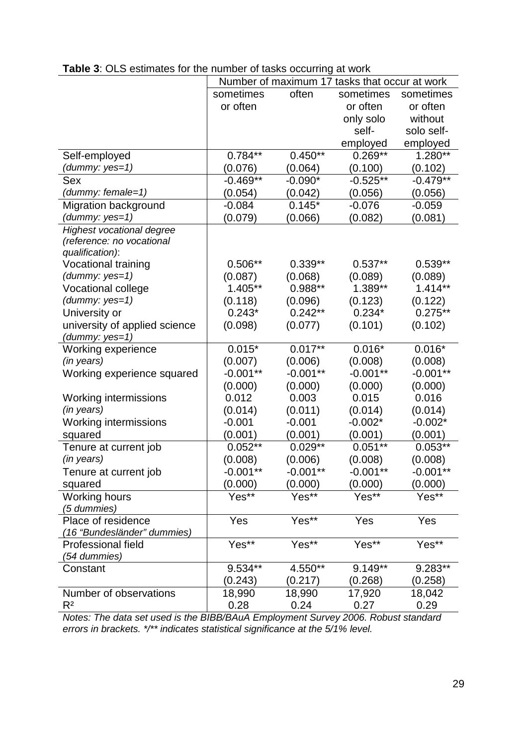|                                     | Number of maximum 17 tasks that occur at work |                       |                       |                       |  |  |  |
|-------------------------------------|-----------------------------------------------|-----------------------|-----------------------|-----------------------|--|--|--|
|                                     | often<br>sometimes<br>sometimes<br>sometimes  |                       |                       |                       |  |  |  |
|                                     | or often                                      |                       | or often              | or often              |  |  |  |
|                                     |                                               |                       | only solo             | without               |  |  |  |
|                                     |                                               |                       | self-                 | solo self-            |  |  |  |
|                                     |                                               |                       | employed              | employed              |  |  |  |
| Self-employed                       | $0.784**$                                     | $0.450**$             | $0.269**$             | $1.280**$             |  |  |  |
| $(dummy: yes=1)$                    | (0.076)                                       | (0.064)               | (0.100)               | (0.102)               |  |  |  |
| Sex                                 | $-0.469**$                                    | $-0.090*$             | $-0.525**$            | $-0.479**$            |  |  |  |
| (dummy: female=1)                   | (0.054)                                       | (0.042)               | (0.056)               | (0.056)               |  |  |  |
| Migration background                | $-0.084$                                      | $0.145*$              | $-0.076$              | $-0.059$              |  |  |  |
| (dummy: yes=1)                      | (0.079)                                       | (0.066)               | (0.082)               | (0.081)               |  |  |  |
| <b>Highest vocational degree</b>    |                                               |                       |                       |                       |  |  |  |
| (reference: no vocational           |                                               |                       |                       |                       |  |  |  |
| qualification):                     |                                               |                       |                       |                       |  |  |  |
| <b>Vocational training</b>          | $0.506**$                                     | $0.339**$             | $0.537**$             | $0.539**$             |  |  |  |
| $(dummy: yes=1)$                    | (0.087)                                       | (0.068)               | (0.089)               | (0.089)               |  |  |  |
| Vocational college                  | 1.405**                                       | 0.988**               | 1.389**               | $1.414**$             |  |  |  |
| $(dummy: yes=1)$                    | (0.118)                                       | (0.096)               | (0.123)               | (0.122)               |  |  |  |
| University or                       | $0.243*$                                      | $0.242**$             | $0.234*$              | $0.275**$             |  |  |  |
| university of applied science       | (0.098)                                       | (0.077)               | (0.101)               | (0.102)               |  |  |  |
| (dummy: yes=1)                      |                                               |                       |                       |                       |  |  |  |
| Working experience                  | $0.015*$                                      | $0.017**$             | $0.016*$              | $0.016*$              |  |  |  |
| (in years)                          | (0.007)                                       | (0.006)               | (0.008)               | (0.008)               |  |  |  |
| Working experience squared          | $-0.001**$                                    | $-0.001**$            | $-0.001**$            | $-0.001**$            |  |  |  |
|                                     | (0.000)                                       | (0.000)               | (0.000)               | (0.000)               |  |  |  |
| <b>Working intermissions</b>        | 0.012                                         | 0.003                 | 0.015                 | 0.016                 |  |  |  |
| (in years)                          | (0.014)                                       | (0.011)               | (0.014)               | (0.014)               |  |  |  |
| <b>Working intermissions</b>        | $-0.001$                                      | $-0.001$              | $-0.002*$             | $-0.002*$             |  |  |  |
| squared                             | (0.001)                                       | (0.001)               | (0.001)<br>$0.051**$  | (0.001)               |  |  |  |
| Tenure at current job               | $0.052**$                                     | $0.029**$             |                       | $0.053**$             |  |  |  |
| (in years)                          | (0.008)<br>$-0.001**$                         | (0.006)<br>$-0.001**$ | (0.008)<br>$-0.001**$ | (0.008)<br>$-0.001**$ |  |  |  |
| Tenure at current job               |                                               |                       |                       |                       |  |  |  |
| squared                             | (0.000)<br>Yes**                              | (0.000)<br>Yes**      | (0.000)<br>Yes**      | (0.000)<br>Yes**      |  |  |  |
| <b>Working hours</b><br>(5 dummies) |                                               |                       |                       |                       |  |  |  |
| Place of residence                  | Yes                                           | Yes**                 | Yes                   | Yes                   |  |  |  |
| '16 "Bundesländer" dummies)         |                                               |                       |                       |                       |  |  |  |
| <b>Professional field</b>           | Yes**                                         | Yes**                 | Yes**                 | Yes**                 |  |  |  |
| (54 dummies)                        |                                               |                       |                       |                       |  |  |  |
| Constant                            | 9.534**                                       | 4.550**               | 9.149**               | 9.283**               |  |  |  |
|                                     | (0.243)                                       | (0.217)               | (0.268)               | (0.258)               |  |  |  |
| Number of observations              | 18,990                                        | 18,990                | 17,920                | 18,042                |  |  |  |
| R <sup>2</sup>                      | 0.28                                          | 0.24                  | 0.27                  | 0.29                  |  |  |  |
|                                     |                                               |                       |                       |                       |  |  |  |

**Table 3**: OLS estimates for the number of tasks occurring at work

Notes: The data set used is the BIBB/BAuA Employment Survey 2006. Robust standard errors in brackets. \*/\*\* indicates statistical significance at the 5/1% level.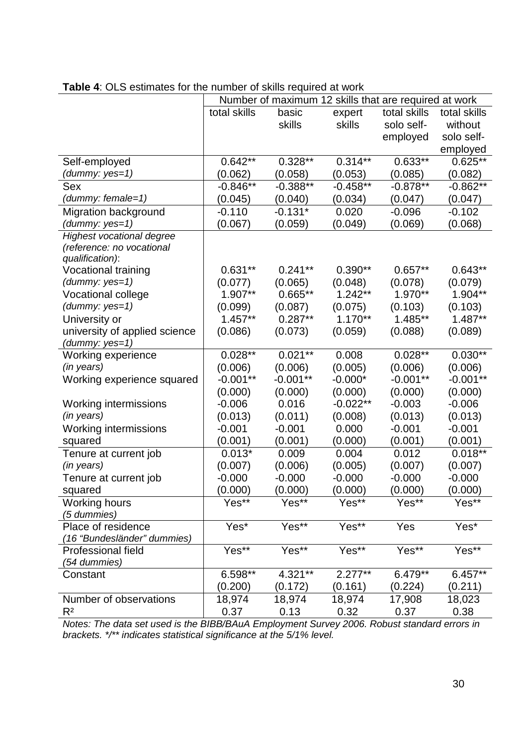|                                                                                  | Number of maximum 12 skills that are required at work |            |            |              |              |  |  |
|----------------------------------------------------------------------------------|-------------------------------------------------------|------------|------------|--------------|--------------|--|--|
|                                                                                  | total skills                                          | basic      | expert     | total skills | total skills |  |  |
|                                                                                  |                                                       | skills     | skills     | solo self-   | without      |  |  |
|                                                                                  |                                                       |            |            | employed     | solo self-   |  |  |
|                                                                                  |                                                       |            |            |              | employed     |  |  |
| Self-employed                                                                    | $0.642**$                                             | $0.328**$  | $0.314**$  | $0.633**$    | $0.625**$    |  |  |
| (dummy: yes=1)                                                                   | (0.062)                                               | (0.058)    | (0.053)    | (0.085)      | (0.082)      |  |  |
| Sex                                                                              | $-0.846**$                                            | $-0.388**$ | $-0.458**$ | $-0.878**$   | $-0.862**$   |  |  |
| (dummy: female=1)                                                                | (0.045)                                               | (0.040)    | (0.034)    | (0.047)      | (0.047)      |  |  |
| Migration background                                                             | $-0.110$                                              | $-0.131*$  | 0.020      | $-0.096$     | $-0.102$     |  |  |
| (dummy: yes=1)                                                                   | (0.067)                                               | (0.059)    | (0.049)    | (0.069)      | (0.068)      |  |  |
| <b>Highest vocational degree</b><br>(reference: no vocational<br>qualification): |                                                       |            |            |              |              |  |  |
| Vocational training                                                              | $0.631**$                                             | $0.241**$  | $0.390**$  | $0.657**$    | $0.643**$    |  |  |
| $(dummy: yes=1)$                                                                 | (0.077)                                               | (0.065)    | (0.048)    | (0.078)      | (0.079)      |  |  |
| Vocational college                                                               | 1.907**                                               | $0.665**$  | $1.242**$  | 1.970**      | 1.904**      |  |  |
| $(dummy: yes=1)$                                                                 | (0.099)                                               | (0.087)    | (0.075)    | (0.103)      | (0.103)      |  |  |
| University or                                                                    | $1.457**$                                             | $0.287**$  | $1.170**$  | 1.485**      | 1.487**      |  |  |
| university of applied science                                                    | (0.086)                                               | (0.073)    | (0.059)    | (0.088)      | (0.089)      |  |  |
| (dummy: yes=1)                                                                   |                                                       |            |            |              |              |  |  |
| Working experience                                                               | $0.028**$                                             | $0.021**$  | 0.008      | $0.028**$    | $0.030**$    |  |  |
| (in years)                                                                       | (0.006)                                               | (0.006)    | (0.005)    | (0.006)      | (0.006)      |  |  |
| Working experience squared                                                       | $-0.001**$                                            | $-0.001**$ | $-0.000*$  | $-0.001**$   | $-0.001**$   |  |  |
|                                                                                  | (0.000)                                               | (0.000)    | (0.000)    | (0.000)      | (0.000)      |  |  |
| <b>Working intermissions</b>                                                     | $-0.006$                                              | 0.016      | $-0.022**$ | $-0.003$     | $-0.006$     |  |  |
| (in years)                                                                       | (0.013)                                               | (0.011)    | (0.008)    | (0.013)      | (0.013)      |  |  |
| <b>Working intermissions</b>                                                     | $-0.001$                                              | $-0.001$   | 0.000      | $-0.001$     | $-0.001$     |  |  |
| squared                                                                          | (0.001)                                               | (0.001)    | (0.000)    | (0.001)      | (0.001)      |  |  |
| Tenure at current job                                                            | $0.013*$                                              | 0.009      | 0.004      | 0.012        | $0.018**$    |  |  |
| (in years)                                                                       | (0.007)                                               | (0.006)    | (0.005)    | (0.007)      | (0.007)      |  |  |
| Tenure at current job                                                            | $-0.000$                                              | $-0.000$   | $-0.000$   | $-0.000$     | $-0.000$     |  |  |
| squared                                                                          | (0.000)                                               | (0.000)    | (0.000)    | (0.000)      | (0.000)      |  |  |
| Working hours                                                                    | Yes**                                                 | Yes**      | Yes**      | Yes**        | Yes**        |  |  |
| (5 dummies)                                                                      |                                                       |            |            |              |              |  |  |
| Place of residence                                                               | Yes*                                                  | Yes**      | Yes**      | Yes          | Yes*         |  |  |
| (16 "Bundesländer" dummies)                                                      |                                                       |            |            |              |              |  |  |
| <b>Professional field</b>                                                        | Yes**                                                 | Yes**      | Yes**      | Yes**        | $Yes*$       |  |  |
| (54 dummies)                                                                     |                                                       |            |            |              |              |  |  |
| Constant                                                                         | 6.598**                                               | 4.321**    | $2.277**$  | 6.479**      | $6.457**$    |  |  |
|                                                                                  | (0.200)                                               | (0.172)    | (0.161)    | (0.224)      | (0.211)      |  |  |
| Number of observations                                                           | 18,974                                                | 18,974     | 18,974     | 17,908       | 18,023       |  |  |
| $R^2$                                                                            | 0.37                                                  | 0.13       | 0.32       | 0.37         | 0.38         |  |  |

**Table 4: OLS estimates for the number of skills required at work** 

Notes: The data set used is the BIBB/BAuA Employment Survey 2006. Robust standard errors in brackets. \*/\*\* indicates statistical significance at the 5/1% level.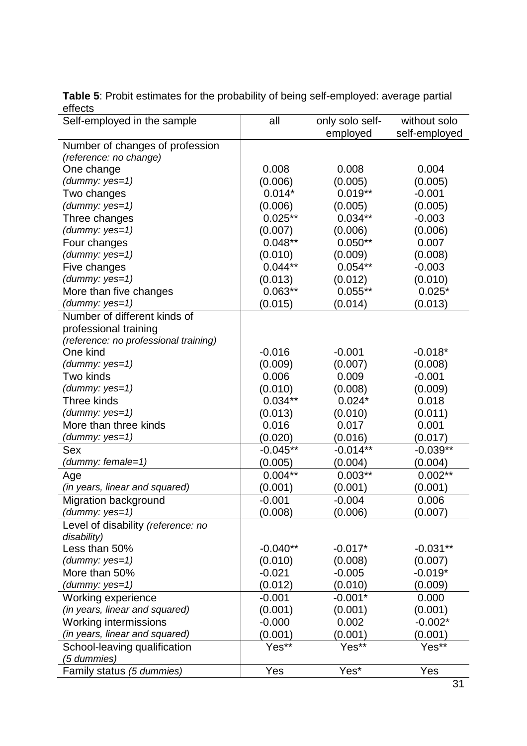**Table 5**: Probit estimates for the probability of being self-employed: average partial effects

| Self-employed in the sample                 | all        | only solo self- | without solo  |
|---------------------------------------------|------------|-----------------|---------------|
|                                             |            | employed        | self-employed |
| Number of changes of profession             |            |                 |               |
| (reference: no change)                      |            |                 |               |
| One change                                  | 0.008      | 0.008           | 0.004         |
| (dummy: yes=1)                              | (0.006)    | (0.005)         | (0.005)       |
| Two changes                                 | $0.014*$   | $0.019**$       | $-0.001$      |
| (dummy: yes=1)                              | (0.006)    | (0.005)         | (0.005)       |
| Three changes                               | $0.025**$  | $0.034**$       | $-0.003$      |
| (dummy: yes=1)                              | (0.007)    | (0.006)         | (0.006)       |
| Four changes                                | $0.048**$  | $0.050**$       | 0.007         |
| (dummy: yes=1)                              | (0.010)    | (0.009)         | (0.008)       |
| Five changes                                | $0.044**$  | $0.054**$       | $-0.003$      |
| (dummy: yes=1)                              | (0.013)    | (0.012)         | (0.010)       |
| More than five changes                      | $0.063**$  | $0.055**$       | $0.025*$      |
| (dummy: yes=1)                              | (0.015)    | (0.014)         | (0.013)       |
| Number of different kinds of                |            |                 |               |
| professional training                       |            |                 |               |
| (reference: no professional training)       |            |                 |               |
| One kind                                    | $-0.016$   | $-0.001$        | $-0.018*$     |
| (dummy: yes=1)                              | (0.009)    | (0.007)         | (0.008)       |
| Two kinds                                   | 0.006      | 0.009           | $-0.001$      |
| $(dummy: yes=1)$                            | (0.010)    | (0.008)         | (0.009)       |
| Three kinds                                 | $0.034**$  | $0.024*$        | 0.018         |
| (dummy: yes=1)                              | (0.013)    | (0.010)         | (0.011)       |
| More than three kinds                       | 0.016      | 0.017           | 0.001         |
| (dummy: yes=1)                              | (0.020)    | (0.016)         | (0.017)       |
| Sex                                         | $-0.045**$ | $-0.014**$      | $-0.039**$    |
| (dummy: female=1)                           | (0.005)    | (0.004)         | (0.004)       |
| Age                                         | $0.004***$ | $0.003***$      | $0.002**$     |
| (in years, linear and squared)              | (0.001)    | (0.001)         | (0.001)       |
| Migration background                        | $-0.001$   | $-0.004$        | 0.006         |
| (dummy: yes=1)                              | (0.008)    | (0.006)         | (0.007)       |
| Level of disability (reference: no          |            |                 |               |
| disability)                                 |            |                 |               |
| Less than 50%                               | $-0.040**$ | $-0.017*$       | $-0.031**$    |
| (dummy: yes=1)                              | (0.010)    | (0.008)         | (0.007)       |
| More than 50%                               | $-0.021$   | $-0.005$        | $-0.019*$     |
| (dummy: yes=1)                              | (0.012)    | (0.010)         | (0.009)       |
| Working experience                          | $-0.001$   | $-0.001*$       | 0.000         |
| (in years, linear and squared)              | (0.001)    | (0.001)         | (0.001)       |
| <b>Working intermissions</b>                | $-0.000$   | 0.002           | $-0.002*$     |
| (in years, linear and squared)              | (0.001)    | (0.001)         | (0.001)       |
| School-leaving qualification<br>(5 dummies) | Yes**      | Yes**           | Yes**         |
| Family status (5 dummies)                   | Yes        | Yes*            | Yes           |
|                                             |            |                 |               |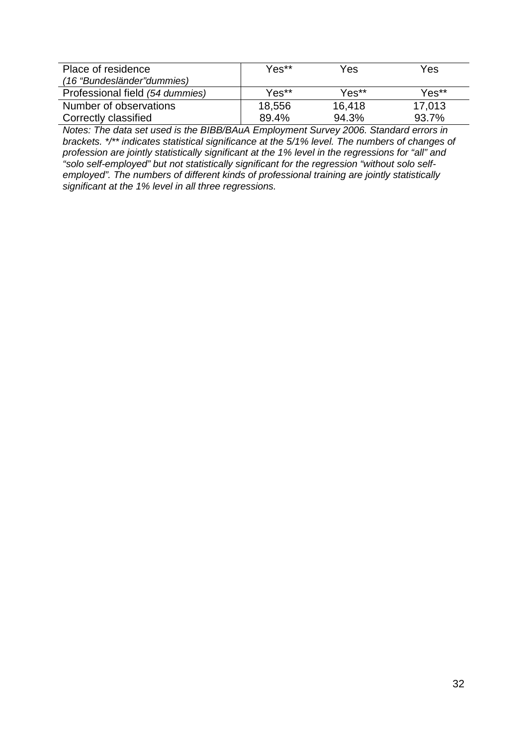| Place of residence<br>(16 "Bundesländer" dummies) | Yes**  | Yes    | Yes    |
|---------------------------------------------------|--------|--------|--------|
| Professional field (54 dummies)                   | Yes**  | Yes**  | Yes**  |
| Number of observations                            | 18,556 | 16,418 | 17,013 |
| Correctly classified                              | 89.4%  | 94.3%  | 93.7%  |

Notes: The data set used is the BIBB/BAuA Employment Survey 2006. Standard errors in brackets. \*/\*\* indicates statistical significance at the 5/1% level. The numbers of changes of profession are jointly statistically significant at the 1% level in the regressions for "all" and "solo self-employed" but not statistically significant for the regression "without solo selfemployed". The numbers of different kinds of professional training are jointly statistically significant at the 1% level in all three regressions.